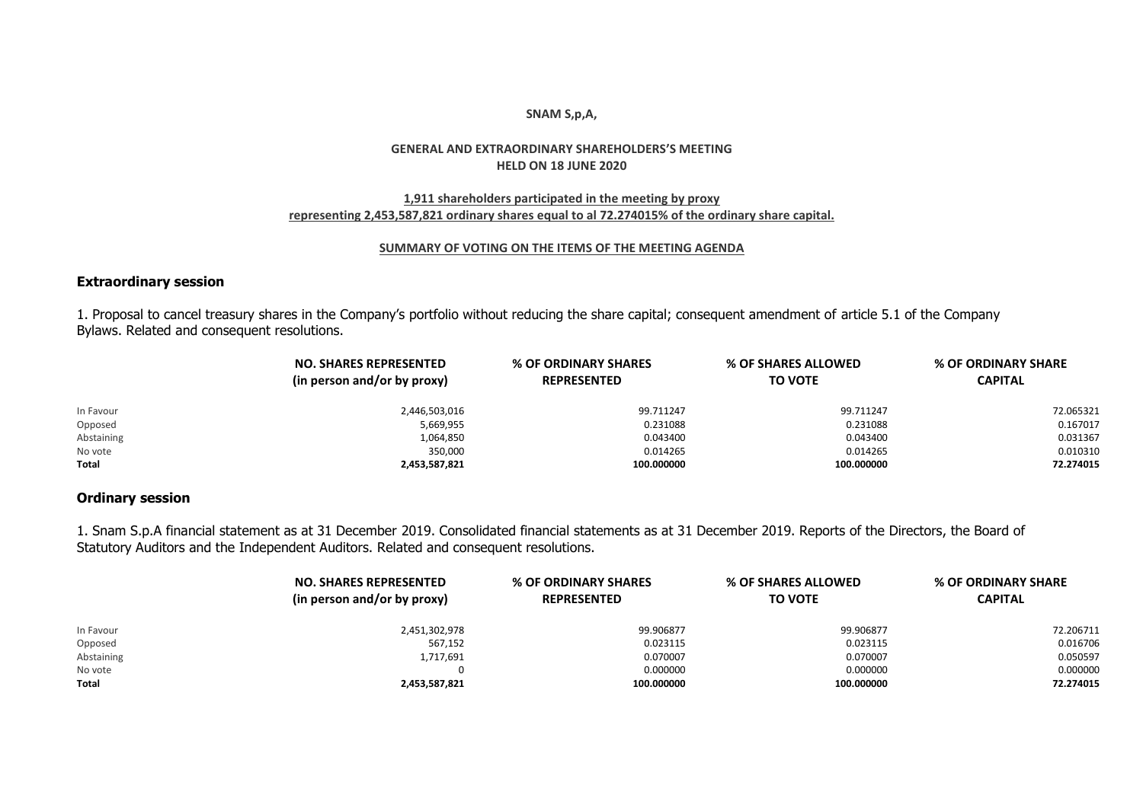#### **SNAM S,p,A,**

## **GENERAL AND EXTRAORDINARY SHAREHOLDERS'S MEETING HELD ON 18 JUNE 2020**

## **1,911 shareholders participated in the meeting by proxy representing 2,453,587,821 ordinary shares equal to al 72.274015% of the ordinary share capital.**

#### **SUMMARY OF VOTING ON THE ITEMS OF THE MEETING AGENDA**

## **Extraordinary session**

1. Proposal to cancel treasury shares in the Company's portfolio without reducing the share capital; consequent amendment of article 5.1 of the Company Bylaws. Related and consequent resolutions.

|            | <b>NO. SHARES REPRESENTED</b><br>(in person and/or by proxy) | % OF ORDINARY SHARES<br><b>REPRESENTED</b> | % OF SHARES ALLOWED<br><b>TO VOTE</b> | % OF ORDINARY SHARE<br><b>CAPITAL</b> |
|------------|--------------------------------------------------------------|--------------------------------------------|---------------------------------------|---------------------------------------|
| In Favour  | 2,446,503,016                                                | 99.711247                                  | 99.711247                             | 72.065321                             |
| Opposed    | 5,669,955                                                    | 0.231088                                   | 0.231088                              | 0.167017                              |
| Abstaining | 1,064,850                                                    | 0.043400                                   | 0.043400                              | 0.031367                              |
| No vote    | 350,000                                                      | 0.014265                                   | 0.014265                              | 0.010310                              |
| Total      | 2,453,587,821                                                | 100.000000                                 | 100.000000                            | 72.274015                             |

## **Ordinary session**

1. Snam S.p.A financial statement as at 31 December 2019. Consolidated financial statements as at 31 December 2019. Reports of the Directors, the Board of Statutory Auditors and the Independent Auditors. Related and consequent resolutions.

|              | <b>NO. SHARES REPRESENTED</b><br>(in person and/or by proxy) | % OF ORDINARY SHARES<br><b>REPRESENTED</b> | % OF SHARES ALLOWED<br><b>TO VOTE</b> | % OF ORDINARY SHARE<br><b>CAPITAL</b> |
|--------------|--------------------------------------------------------------|--------------------------------------------|---------------------------------------|---------------------------------------|
|              |                                                              |                                            |                                       |                                       |
| In Favour    | 2,451,302,978                                                | 99.906877                                  | 99.906877                             | 72.206711                             |
| Opposed      | 567,152                                                      | 0.023115                                   | 0.023115                              | 0.016706                              |
| Abstaining   | 1,717,691                                                    | 0.070007                                   | 0.070007                              | 0.050597                              |
| No vote      |                                                              | 0.000000                                   | 0.000000                              | 0.000000                              |
| <b>Total</b> | 2,453,587,821                                                | 100.000000                                 | 100.000000                            | 72.274015                             |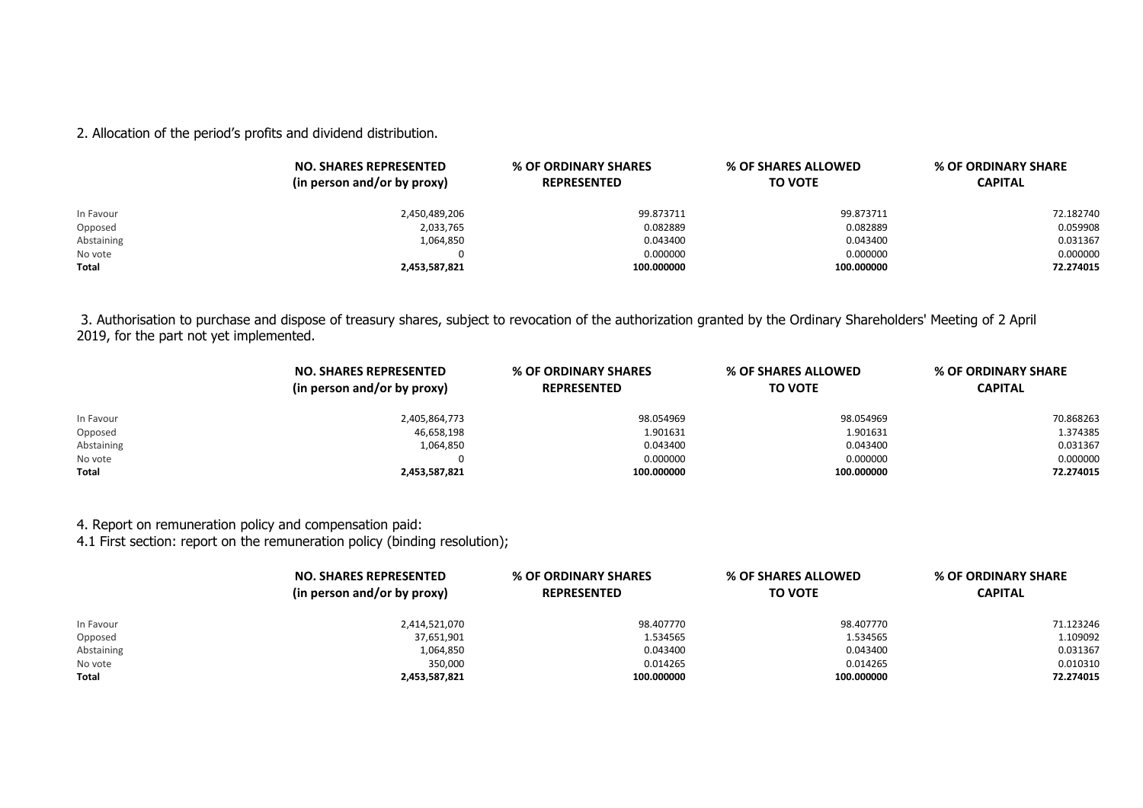2. Allocation of the period's profits and dividend distribution.

|              | <b>NO. SHARES REPRESENTED</b><br>(in person and/or by proxy) | % OF ORDINARY SHARES<br><b>REPRESENTED</b> | % OF SHARES ALLOWED<br><b>TO VOTE</b> | % OF ORDINARY SHARE<br><b>CAPITAL</b> |
|--------------|--------------------------------------------------------------|--------------------------------------------|---------------------------------------|---------------------------------------|
| In Favour    | 2,450,489,206                                                | 99.873711                                  | 99.873711                             | 72.182740                             |
| Opposed      | 2,033,765                                                    | 0.082889                                   | 0.082889                              | 0.059908                              |
| Abstaining   | 1,064,850                                                    | 0.043400                                   | 0.043400                              | 0.031367                              |
| No vote      |                                                              | 0.000000                                   | 0.000000                              | 0.000000                              |
| <b>Total</b> | 2,453,587,821                                                | 100.000000                                 | 100.000000                            | 72.274015                             |

3. Authorisation to purchase and dispose of treasury shares, subject to revocation of the authorization granted by the Ordinary Shareholders' Meeting of 2 April 2019, for the part not yet implemented.

|            | <b>NO. SHARES REPRESENTED</b><br>(in person and/or by proxy) | % OF ORDINARY SHARES<br><b>REPRESENTED</b> | % OF SHARES ALLOWED<br><b>TO VOTE</b> | % OF ORDINARY SHARE<br><b>CAPITAL</b> |
|------------|--------------------------------------------------------------|--------------------------------------------|---------------------------------------|---------------------------------------|
| In Favour  | 2,405,864,773                                                | 98.054969                                  | 98.054969                             | 70.868263                             |
| Opposed    | 46,658,198                                                   | 1.901631                                   | 1.901631                              | 1.374385                              |
| Abstaining | 1,064,850                                                    | 0.043400                                   | 0.043400                              | 0.031367                              |
| No vote    |                                                              | 0.000000                                   | 0.000000                              | 0.000000                              |
| Total      | 2,453,587,821                                                | 100.000000                                 | 100.000000                            | 72.274015                             |

4. Report on remuneration policy and compensation paid:

4.1 First section: report on the remuneration policy (binding resolution);

|              | <b>NO. SHARES REPRESENTED</b><br>(in person and/or by proxy) | % OF ORDINARY SHARES<br><b>REPRESENTED</b> | % OF SHARES ALLOWED<br><b>TO VOTE</b> | % OF ORDINARY SHARE<br><b>CAPITAL</b> |
|--------------|--------------------------------------------------------------|--------------------------------------------|---------------------------------------|---------------------------------------|
| In Favour    | 2,414,521,070                                                | 98.407770                                  | 98.407770                             | 71.123246                             |
| Opposed      | 37,651,901                                                   | 1.534565                                   | 1.534565                              | 1.109092                              |
| Abstaining   | 1,064,850                                                    | 0.043400                                   | 0.043400                              | 0.031367                              |
| No vote      | 350,000                                                      | 0.014265                                   | 0.014265                              | 0.010310                              |
| <b>Total</b> | 2,453,587,821                                                | 100.000000                                 | 100.000000                            | 72.274015                             |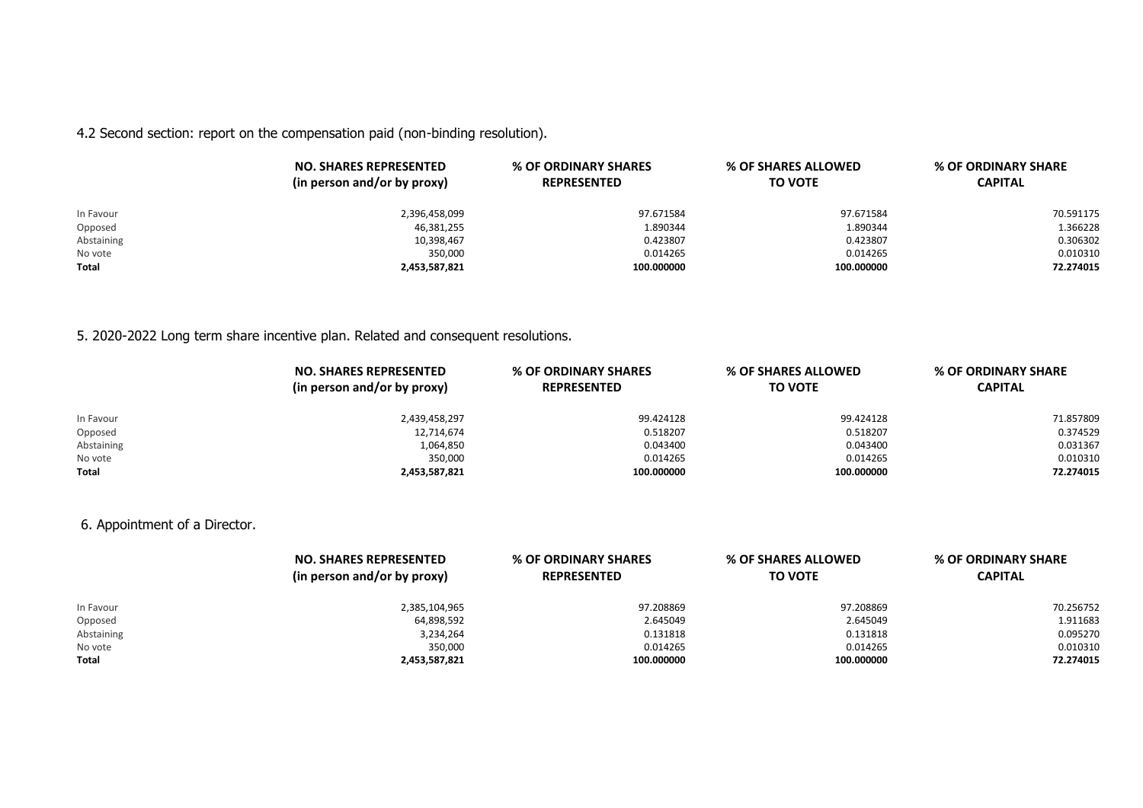4.2 Second section: report on the compensation paid (non-binding resolution).

|              | <b>NO. SHARES REPRESENTED</b><br>(in person and/or by proxy) | % OF ORDINARY SHARES<br><b>REPRESENTED</b> | % OF SHARES ALLOWED<br><b>TO VOTE</b> | % OF ORDINARY SHARE<br><b>CAPITAL</b> |
|--------------|--------------------------------------------------------------|--------------------------------------------|---------------------------------------|---------------------------------------|
| In Favour    | 2,396,458,099                                                | 97.671584                                  | 97.671584                             | 70.591175                             |
| Opposed      | 46,381,255                                                   | 1.890344                                   | 1.890344                              | 1.366228                              |
| Abstaining   | 10,398,467                                                   | 0.423807                                   | 0.423807                              | 0.306302                              |
| No vote      | 350,000                                                      | 0.014265                                   | 0.014265                              | 0.010310                              |
| <b>Total</b> | 2,453,587,821                                                | 100.000000                                 | 100.000000                            | 72.274015                             |

# 5. 2020-2022 Long term share incentive plan. Related and consequent resolutions.

|            | <b>NO. SHARES REPRESENTED</b><br>(in person and/or by proxy) | % OF ORDINARY SHARES<br><b>REPRESENTED</b> | % OF SHARES ALLOWED<br><b>TO VOTE</b> | % OF ORDINARY SHARE<br><b>CAPITAL</b> |
|------------|--------------------------------------------------------------|--------------------------------------------|---------------------------------------|---------------------------------------|
| In Favour  | 2,439,458,297                                                | 99.424128                                  | 99.424128                             | 71.857809                             |
| Opposed    | 12,714,674                                                   | 0.518207                                   | 0.518207                              | 0.374529                              |
| Abstaining | 1,064,850                                                    | 0.043400                                   | 0.043400                              | 0.031367                              |
| No vote    | 350,000                                                      | 0.014265                                   | 0.014265                              | 0.010310                              |
| Total      | 2,453,587,821                                                | 100.000000                                 | 100.000000                            | 72.274015                             |

6. Appointment of a Director.

|              | <b>NO. SHARES REPRESENTED</b><br>(in person and/or by proxy) | % OF ORDINARY SHARES<br><b>REPRESENTED</b> | % OF SHARES ALLOWED<br><b>TO VOTE</b> | % OF ORDINARY SHARE<br><b>CAPITAL</b> |
|--------------|--------------------------------------------------------------|--------------------------------------------|---------------------------------------|---------------------------------------|
| In Favour    | 2,385,104,965                                                | 97.208869                                  | 97.208869                             | 70.256752                             |
| Opposed      | 64,898,592                                                   | 2.645049                                   | 2.645049                              | 1.911683                              |
| Abstaining   | 3,234,264                                                    | 0.131818                                   | 0.131818                              | 0.095270                              |
| No vote      | 350,000                                                      | 0.014265                                   | 0.014265                              | 0.010310                              |
| <b>Total</b> | 2,453,587,821                                                | 100.000000                                 | 100.000000                            | 72.274015                             |